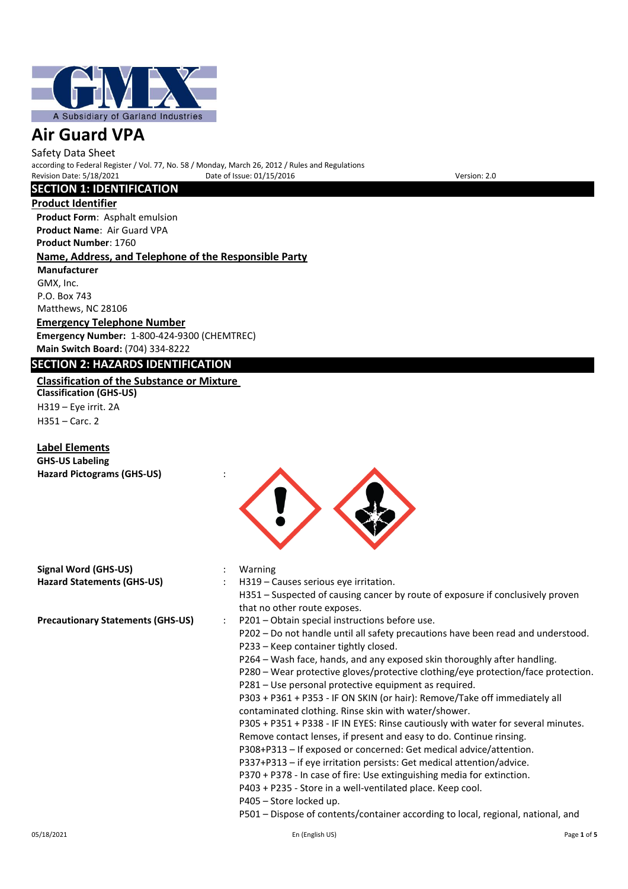

Safety Data Sheet according to Federal Register / Vol. 77, No. 58 / Monday, March 26, 2012 / Rules and Regulations Date of Issue: 01/15/2016 **Version: 2.0** 

# **SECTION 1: IDENTIFICATION**

**Product Identifier**

**Product Form**: Asphalt emulsion **Product Name**: Air Guard VPA **Product Number**: 1760

# **Name, Address, and Telephone of the Responsible Party**

**Manufacturer** GMX, Inc. P.O. Box 743 Matthews, NC 28106

## **Emergency Telephone Number**

**Emergency Number:** 1-800-424-9300 (CHEMTREC) **Main Switch Board:** (704) 334-8222

# **SECTION 2: HAZARDS IDENTIFICATION**

## **Classification of the Substance or Mixture Classification (GHS-US)** H319 – Eye irrit. 2A

H351 – Carc. 2

# **Label Elements**

**GHS-US Labeling Hazard Pictograms (GHS-US)** :

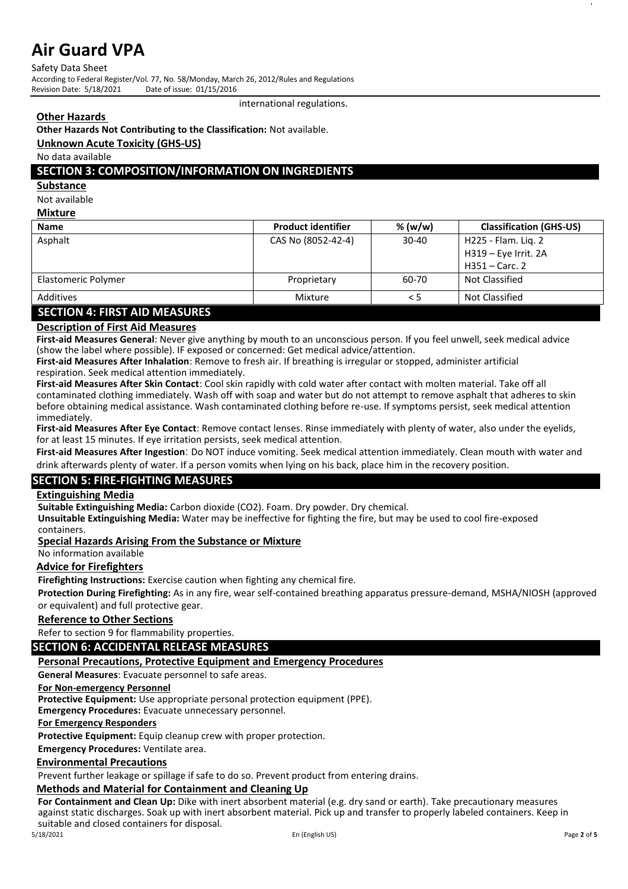Safety Data Sheet According to Federal Register/Vol. 77, No. 58/Monday, March 26, 2012/Rules and Regulations Date of issue: 01/15/2016

international regulations.

# **Other Hazards**

#### **Other Hazards Not Contributing to the Classification:** Not available.

# **Unknown Acute Toxicity (GHS-US)**

No data available

# **SECTION 3: COMPOSITION/INFORMATION ON INGREDIENTS**

**Substance**

Not available

## **Mixture**

| <b>Name</b>                   | <b>Product identifier</b> | % (w/w) | <b>Classification (GHS-US)</b> |
|-------------------------------|---------------------------|---------|--------------------------------|
| Asphalt                       | CAS No (8052-42-4)        | 30-40   | H225 - Flam. Liq. 2            |
|                               |                           |         | H319 - Eye Irrit. 2A           |
|                               |                           |         | $H351 - Carc.$ 2               |
| Elastomeric Polymer           | Proprietary               | 60-70   | Not Classified                 |
| Additives                     | Mixture                   | < 5     | Not Classified                 |
| CEATION A FIRET AIR BAFACURES |                           |         |                                |

# **SECTION 4: FIRST AID MEASURES**

## **Description of First Aid Measures**

**First-aid Measures General**: Never give anything by mouth to an unconscious person. If you feel unwell, seek medical advice (show the label where possible). IF exposed or concerned: Get medical advice/attention.

**First-aid Measures After Inhalation**: Remove to fresh air. If breathing is irregular or stopped, administer artificial respiration. Seek medical attention immediately.

**First-aid Measures After Skin Contact**: Cool skin rapidly with cold water after contact with molten material. Take off all contaminated clothing immediately. Wash off with soap and water but do not attempt to remove asphalt that adheres to skin before obtaining medical assistance. Wash contaminated clothing before re-use. If symptoms persist, seek medical attention immediately.

**First-aid Measures After Eye Contact**: Remove contact lenses. Rinse immediately with plenty of water, also under the eyelids, for at least 15 minutes. If eye irritation persists, seek medical attention.

**First-aid Measures After Ingestion**: Do NOT induce vomiting. Seek medical attention immediately. Clean mouth with water and drink afterwards plenty of water. If a person vomits when lying on his back, place him in the recovery position.

# **SECTION 5: FIRE-FIGHTING MEASURES**

## **Extinguishing Media**

**Suitable Extinguishing Media:** Carbon dioxide (CO2). Foam. Dry powder. Dry chemical.

**Unsuitable Extinguishing Media:** Water may be ineffective for fighting the fire, but may be used to cool fire-exposed containers.

## **Special Hazards Arising From the Substance or Mixture**

No information available

## **Advice for Firefighters**

**Firefighting Instructions:** Exercise caution when fighting any chemical fire.

**Protection During Firefighting:** As in any fire, wear self-contained breathing apparatus pressure-demand, MSHA/NIOSH (approved

# or equivalent) and full protective gear.

# **Reference to Other Sections**

Refer to section 9 for flammability properties.

# **SECTION 6: ACCIDENTAL RELEASE MEASURES**

## **Personal Precautions, Protective Equipment and Emergency Procedures**

**General Measures**: Evacuate personnel to safe areas.

**For Non-emergency Personnel**

**Protective Equipment:** Use appropriate personal protection equipment (PPE).

**Emergency Procedures:** Evacuate unnecessary personnel.

**For Emergency Responders**

**Protective Equipment:** Equip cleanup crew with proper protection.

**Emergency Procedures:** Ventilate area.

#### **Environmental Precautions**

Prevent further leakage or spillage if safe to do so. Prevent product from entering drains.

## **Methods and Material for Containment and Cleaning Up**

**For Containment and Clean Up:** Dike with inert absorbent material (e.g. dry sand or earth). Take precautionary measures against static discharges. Soak up with inert absorbent material. Pick up and transfer to properly labeled containers. Keep in suitable and closed containers for disposal.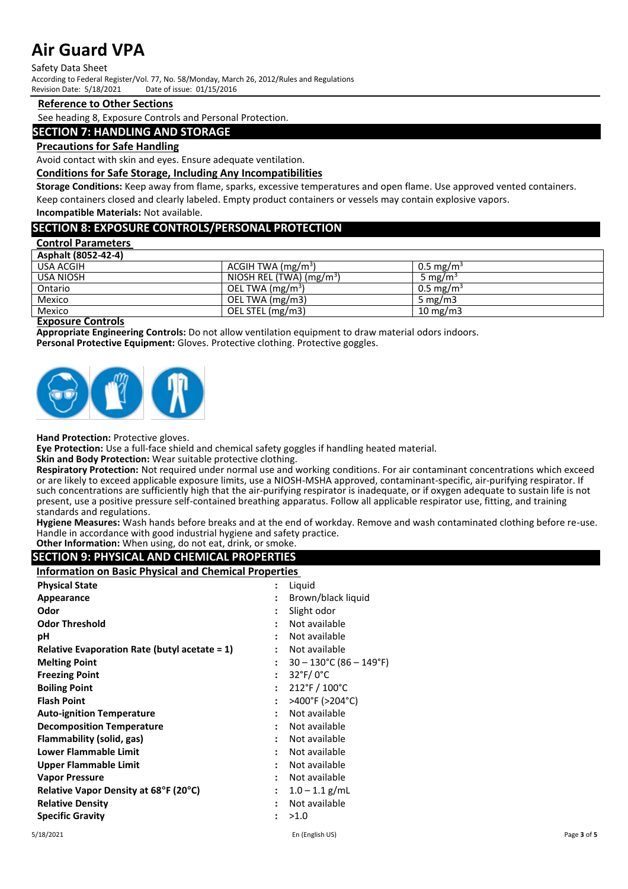Safety Data Sheet

According to Federal Register/Vol. 77, No. 58/Monday, March 26, 2012/Rules and Regulations

Date of issue: 01/15/2016

#### **Reference to Other Sections**

See heading 8, Exposure Controls and Personal Protection.

# **SECTION 7: HANDLING AND STORAGE**

## **Precautions for Safe Handling**

Avoid contact with skin and eyes. Ensure adequate ventilation.

#### **Conditions for Safe Storage, Including Any Incompatibilities**

**Storage Conditions:** Keep away from flame, sparks, excessive temperatures and open flame. Use approved vented containers.

Keep containers closed and clearly labeled. Empty product containers or vessels may contain explosive vapors.

**Incompatible Materials:** Not available.

# **SECTION 8: EXPOSURE CONTROLS/PERSONAL PROTECTION**

## **Control Parameters**

| Asphalt (8052-42-4) |                                      |                      |
|---------------------|--------------------------------------|----------------------|
| USA ACGIH           | ACGIH TWA $(mg/m3)$                  | $0.5 \text{ mg/m}^3$ |
| USA NIOSH           | NIOSH REL (TWA) (mg/m <sup>3</sup> ) | 5 mg/m <sup>3</sup>  |
| Ontario             | OEL TWA (mg/m <sup>3</sup> )         | $0.5 \text{ mg/m}^3$ |
| Mexico              | OEL TWA (mg/m3)                      | 5 mg/m $3$           |
| Mexico              | OEL STEL (mg/m3)                     | 10 mg/m3             |

**Exposure Controls**

**Appropriate Engineering Controls:** Do not allow ventilation equipment to draw material odors indoors.

**Personal Protective Equipment:** Gloves. Protective clothing. Protective goggles.



**Hand Protection:** Protective gloves.

**Eye Protection:** Use a full-face shield and chemical safety goggles if handling heated material.

**Skin and Body Protection:** Wear suitable protective clothing.

**Respiratory Protection:** Not required under normal use and working conditions. For air contaminant concentrations which exceed or are likely to exceed applicable exposure limits, use a NIOSH-MSHA approved, contaminant-specific, air-purifying respirator. If such concentrations are sufficiently high that the air-purifying respirator is inadequate, or if oxygen adequate to sustain life is not present, use a positive pressure self-contained breathing apparatus. Follow all applicable respirator use, fitting, and training standards and regulations.

**Hygiene Measures:** Wash hands before breaks and at the end of workday. Remove and wash contaminated clothing before re-use. Handle in accordance with good industrial hygiene and safety practice.

**Other Information:** When using, do not eat, drink, or smoke.

# **SECTION 9: PHYSICAL AND CHEMICAL PROPERTIES**

**Information on Basic Physical and Chemical Properties**

| <b>Physical State</b>                            | $\ddot{\cdot}$       | Liquid                            |
|--------------------------------------------------|----------------------|-----------------------------------|
| Appearance                                       | $\ddot{\cdot}$       | Brown/black liquid                |
| Odor                                             |                      | Slight odor                       |
| <b>Odor Threshold</b>                            | $\ddot{\phantom{a}}$ | Not available                     |
| рH                                               |                      | Not available                     |
| Relative Evaporation Rate (butyl acetate $= 1$ ) |                      | Not available                     |
| <b>Melting Point</b>                             |                      | $30 - 130^{\circ}$ C (86 – 149°F) |
| <b>Freezing Point</b>                            | $\ddot{\cdot}$       | $32^{\circ}$ F/0 $^{\circ}$ C     |
| <b>Boiling Point</b>                             | $\ddot{\phantom{0}}$ | $212^{\circ}$ F / $100^{\circ}$ C |
| <b>Flash Point</b>                               | $\ddot{\cdot}$       | >400°F (>204°C)                   |
| <b>Auto-ignition Temperature</b>                 |                      | Not available                     |
| <b>Decomposition Temperature</b>                 | $\ddot{\phantom{a}}$ | Not available                     |
| Flammability (solid, gas)                        | $\ddot{\cdot}$       | Not available                     |
| Lower Flammable Limit                            | $\ddot{\cdot}$       | Not available                     |
| Upper Flammable Limit                            |                      | Not available                     |
| <b>Vapor Pressure</b>                            |                      | Not available                     |
| Relative Vapor Density at 68°F (20°C)            | $\mathbf{r}$         | $1.0 - 1.1$ g/mL                  |
| <b>Relative Density</b>                          |                      | Not available                     |
| <b>Specific Gravity</b>                          | $\ddot{\cdot}$       | >1.0                              |
|                                                  |                      |                                   |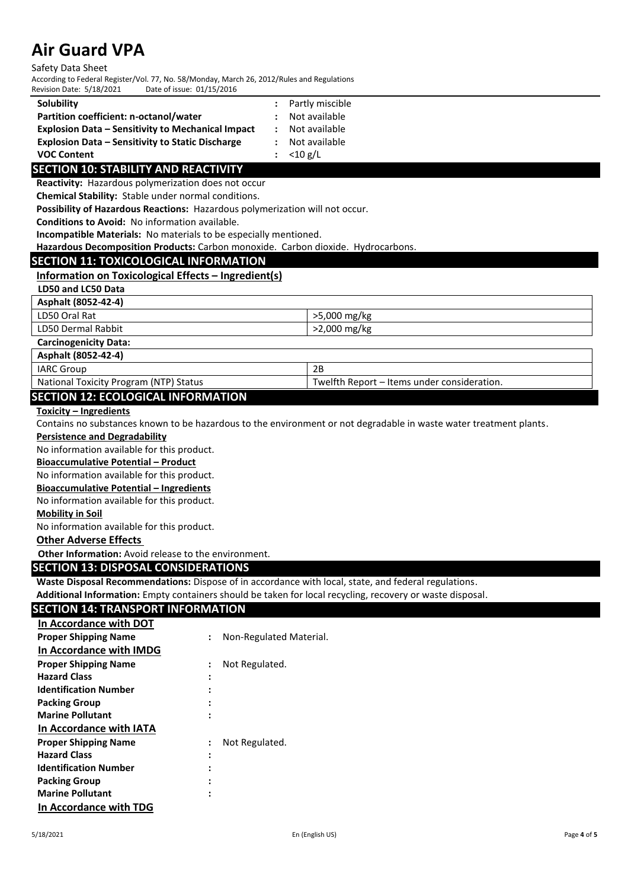#### Safety Data Sheet

According to Federal Register/Vol. 77, No. 58/Monday, March 26, 2012/Rules and Regulations Revision Date: 5/18/2021

| Solubility                                               | : Partly miscible |
|----------------------------------------------------------|-------------------|
| Partition coefficient: n-octanol/water                   | Not available     |
| <b>Explosion Data – Sensitivity to Mechanical Impact</b> | Not available     |
| <b>Explosion Data – Sensitivity to Static Discharge</b>  | Not available     |
| <b>VOC Content</b>                                       | $<$ 10 g/L        |

# **SECTION 10: STABILITY AND REACTIVITY**

**Reactivity:** Hazardous polymerization does not occur

**Chemical Stability:** Stable under normal conditions.

**Possibility of Hazardous Reactions:** Hazardous polymerization will not occur.

**Conditions to Avoid:** No information available.

**Incompatible Materials:** No materials to be especially mentioned.

**Hazardous Decomposition Products:** Carbon monoxide. Carbon dioxide. Hydrocarbons.

## **SECTION 11: TOXICOLOGICAL INFORMATION**

**Information on Toxicological Effects – Ingredient(s)**

# **LD50 and LC50 Data**

| Asphalt (8052-42-4) |              |
|---------------------|--------------|
| LD50 Oral Rat       | >5,000 mg/kg |
| LD50 Dermal Rabbit  | >2,000 mg/kg |
| .<br>.              |              |

#### **Carcinogenicity Data:**

**Asphalt (8052-42-4)**

| <b>IARC Group</b>   | חר<br>ZD                     |
|---------------------|------------------------------|
| National            | Twelfth Report               |
| (NTP) Status        | - Items under consideration. |
| ' Toxicity Program, | $-1$                         |

# **SECTION 12: ECOLOGICAL INFORMATION**

#### **Toxicity – Ingredients**

Contains no substances known to be hazardous to the environment or not degradable in waste water treatment plants.

#### **Persistence and Degradability**

No information available for this product.

#### **Bioaccumulative Potential – Product**

No information available for this product.

#### **Bioaccumulative Potential – Ingredients**

No information available for this product.

#### **Mobility in Soil**

No information available for this product.

#### **Other Adverse Effects**

**Other Information:** Avoid release to the environment.

## **SECTION 13: DISPOSAL CONSIDERATIONS**

**Waste Disposal Recommendations:** Dispose of in accordance with local, state, and federal regulations.

**Additional Information:** Empty containers should be taken for local recycling, recovery or waste disposal.

# **SECTION 14: TRANSPORT INFORMATION**

| <b>In Accordance with DOT</b> |                |                         |
|-------------------------------|----------------|-------------------------|
| <b>Proper Shipping Name</b>   | $\ddot{\cdot}$ | Non-Regulated Material. |
| In Accordance with IMDG       |                |                         |
| <b>Proper Shipping Name</b>   | :              | Not Regulated.          |
| <b>Hazard Class</b>           | ٠<br>$\bullet$ |                         |
| <b>Identification Number</b>  | ÷              |                         |
| <b>Packing Group</b>          |                |                         |
| <b>Marine Pollutant</b>       | $\bullet$      |                         |
| In Accordance with IATA       |                |                         |
| <b>Proper Shipping Name</b>   | :              | Not Regulated.          |
| <b>Hazard Class</b>           | ٠              |                         |
| <b>Identification Number</b>  |                |                         |
| <b>Packing Group</b>          | ٠              |                         |
| <b>Marine Pollutant</b>       |                |                         |
| In Accordance with TDG        |                |                         |